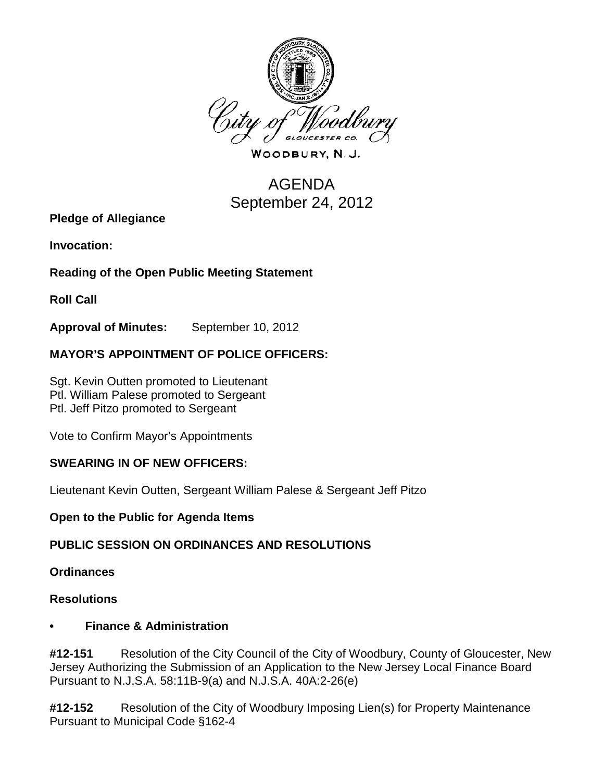

WOODBURY, N.J.

# AGENDA September 24, 2012

**Pledge of Allegiance**

**Invocation:** 

## **Reading of the Open Public Meeting Statement**

**Roll Call**

**Approval of Minutes:** September 10, 2012

## **MAYOR'S APPOINTMENT OF POLICE OFFICERS:**

Sgt. Kevin Outten promoted to Lieutenant Ptl. William Palese promoted to Sergeant Ptl. Jeff Pitzo promoted to Sergeant

Vote to Confirm Mayor's Appointments

#### **SWEARING IN OF NEW OFFICERS:**

Lieutenant Kevin Outten, Sergeant William Palese & Sergeant Jeff Pitzo

**Open to the Public for Agenda Items**

#### **PUBLIC SESSION ON ORDINANCES AND RESOLUTIONS**

**Ordinances**

#### **Resolutions**

#### **• Finance & Administration**

**#12-151** Resolution of the City Council of the City of Woodbury, County of Gloucester, New Jersey Authorizing the Submission of an Application to the New Jersey Local Finance Board Pursuant to N.J.S.A. 58:11B-9(a) and N.J.S.A. 40A:2-26(e)

**#12-152** Resolution of the City of Woodbury Imposing Lien(s) for Property Maintenance Pursuant to Municipal Code §162-4